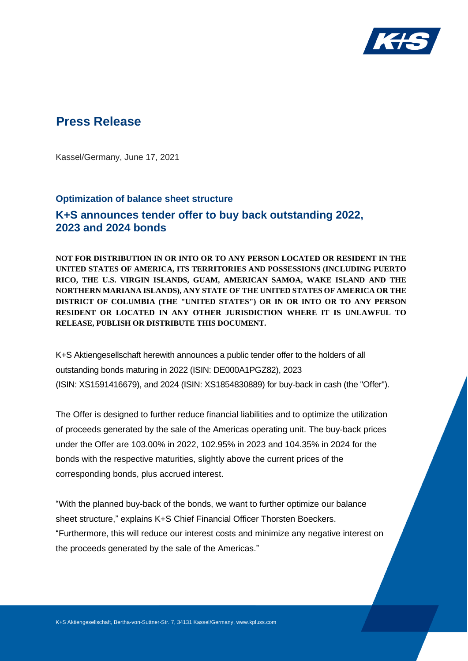

## **Press Release**

Kassel/Germany, June 17, 2021

## **Optimization of balance sheet structure K+S announces tender offer to buy back outstanding 2022, 2023 and 2024 bonds**

**NOT FOR DISTRIBUTION IN OR INTO OR TO ANY PERSON LOCATED OR RESIDENT IN THE UNITED STATES OF AMERICA, ITS TERRITORIES AND POSSESSIONS (INCLUDING PUERTO RICO, THE U.S. VIRGIN ISLANDS, GUAM, AMERICAN SAMOA, WAKE ISLAND AND THE NORTHERN MARIANA ISLANDS), ANY STATE OF THE UNITED STATES OF AMERICA OR THE DISTRICT OF COLUMBIA (THE "UNITED STATES") OR IN OR INTO OR TO ANY PERSON RESIDENT OR LOCATED IN ANY OTHER JURISDICTION WHERE IT IS UNLAWFUL TO RELEASE, PUBLISH OR DISTRIBUTE THIS DOCUMENT.**

K+S Aktiengesellschaft herewith announces a public tender offer to the holders of all outstanding bonds maturing in 2022 (ISIN: DE000A1PGZ82), 2023 (ISIN: XS1591416679), and 2024 (ISIN: XS1854830889) for buy-back in cash (the "Offer").

The Offer is designed to further reduce financial liabilities and to optimize the utilization of proceeds generated by the sale of the Americas operating unit. The buy-back prices under the Offer are 103.00% in 2022, 102.95% in 2023 and 104.35% in 2024 for the bonds with the respective maturities, slightly above the current prices of the corresponding bonds, plus accrued interest.

"With the planned buy-back of the bonds, we want to further optimize our balance sheet structure," explains K+S Chief Financial Officer Thorsten Boeckers. "Furthermore, this will reduce our interest costs and minimize any negative interest on the proceeds generated by the sale of the Americas."